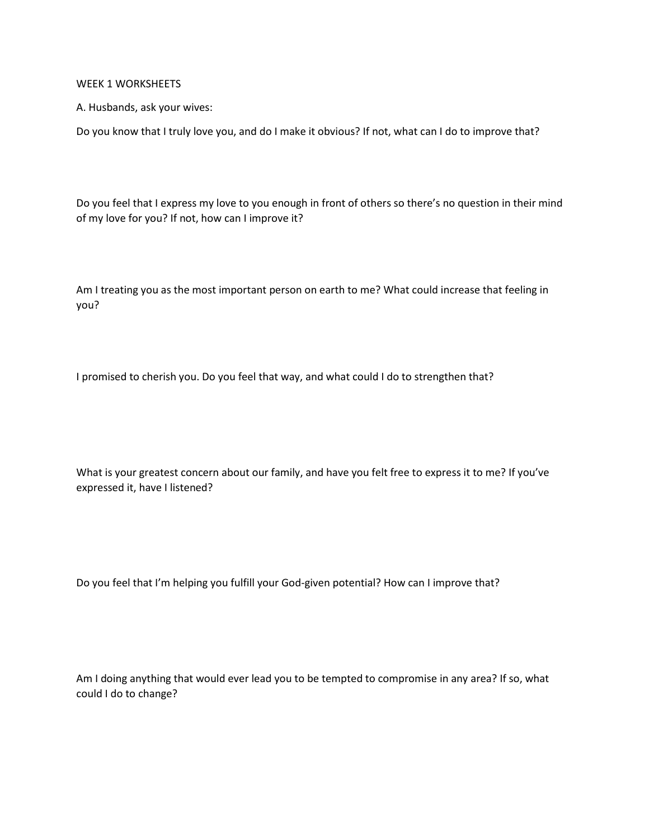WEEK 1 WORKSHEETS

A. Husbands, ask your wives:

Do you know that I truly love you, and do I make it obvious? If not, what can I do to improve that?

Do you feel that I express my love to you enough in front of others so there's no question in their mind of my love for you? If not, how can I improve it?

Am I treating you as the most important person on earth to me? What could increase that feeling in you?

I promised to cherish you. Do you feel that way, and what could I do to strengthen that?

What is your greatest concern about our family, and have you felt free to express it to me? If you've expressed it, have I listened?

Do you feel that I'm helping you fulfill your God-given potential? How can I improve that?

Am I doing anything that would ever lead you to be tempted to compromise in any area? If so, what could I do to change?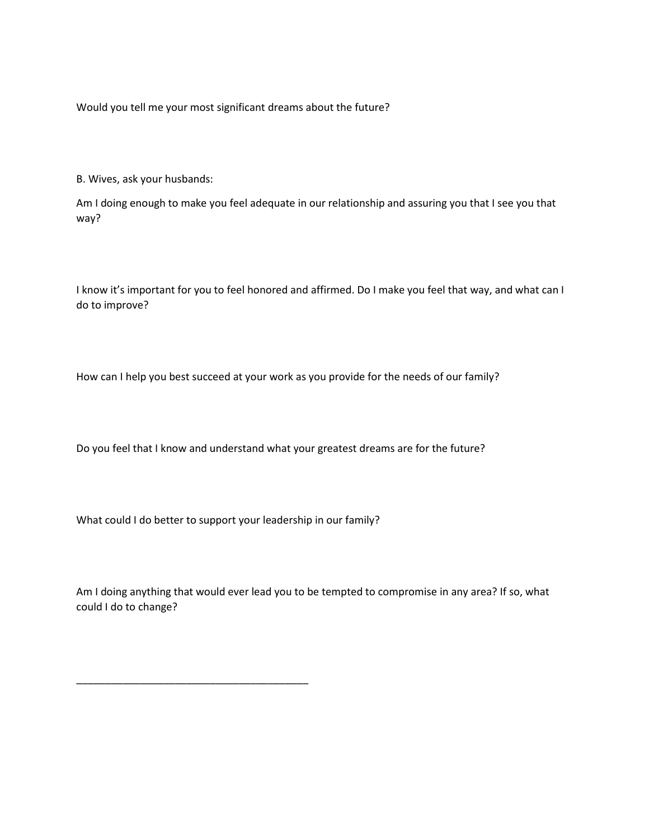Would you tell me your most significant dreams about the future?

B. Wives, ask your husbands:

Am I doing enough to make you feel adequate in our relationship and assuring you that I see you that way?

I know it's important for you to feel honored and affirmed. Do I make you feel that way, and what can I do to improve?

How can I help you best succeed at your work as you provide for the needs of our family?

Do you feel that I know and understand what your greatest dreams are for the future?

What could I do better to support your leadership in our family?

\_\_\_\_\_\_\_\_\_\_\_\_\_\_\_\_\_\_\_\_\_\_\_\_\_\_\_\_\_\_\_\_\_\_\_\_\_\_\_\_

Am I doing anything that would ever lead you to be tempted to compromise in any area? If so, what could I do to change?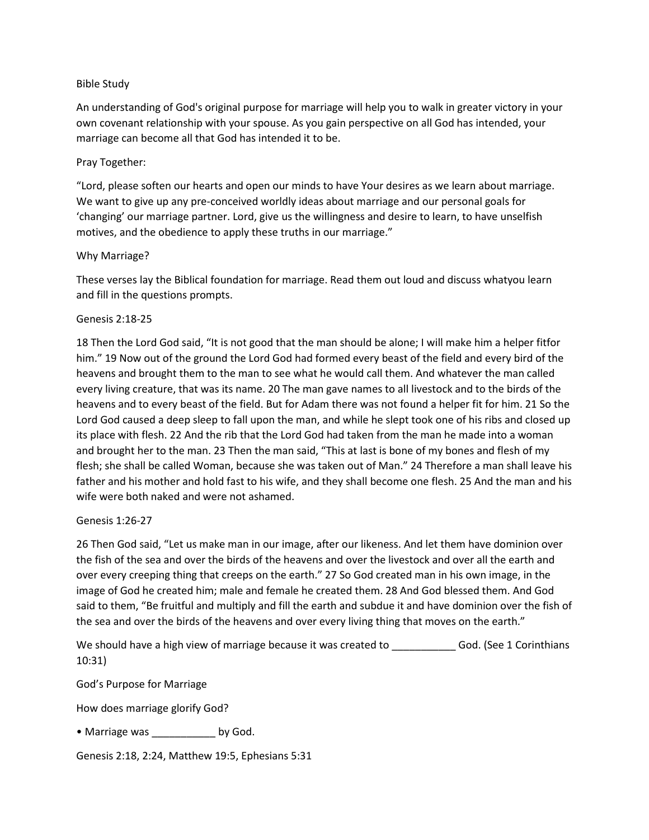# Bible Study

An understanding of God's original purpose for marriage will help you to walk in greater victory in your own covenant relationship with your spouse. As you gain perspective on all God has intended, your marriage can become all that God has intended it to be.

### Pray Together:

"Lord, please soften our hearts and open our minds to have Your desires as we learn about marriage. We want to give up any pre-conceived worldly ideas about marriage and our personal goals for 'changing' our marriage partner. Lord, give us the willingness and desire to learn, to have unselfish motives, and the obedience to apply these truths in our marriage."

# Why Marriage?

These verses lay the Biblical foundation for marriage. Read them out loud and discuss whatyou learn and fill in the questions prompts.

#### Genesis 2:18-25

18 Then the Lord God said, "It is not good that the man should be alone; I will make him a helper fitfor him." 19 Now out of the ground the Lord God had formed every beast of the field and every bird of the heavens and brought them to the man to see what he would call them. And whatever the man called every living creature, that was its name. 20 The man gave names to all livestock and to the birds of the heavens and to every beast of the field. But for Adam there was not found a helper fit for him. 21 So the Lord God caused a deep sleep to fall upon the man, and while he slept took one of his ribs and closed up its place with flesh. 22 And the rib that the Lord God had taken from the man he made into a woman and brought her to the man. 23 Then the man said, "This at last is bone of my bones and flesh of my flesh; she shall be called Woman, because she was taken out of Man." 24 Therefore a man shall leave his father and his mother and hold fast to his wife, and they shall become one flesh. 25 And the man and his wife were both naked and were not ashamed.

# Genesis 1:26-27

26 Then God said, "Let us make man in our image, after our likeness. And let them have dominion over the fish of the sea and over the birds of the heavens and over the livestock and over all the earth and over every creeping thing that creeps on the earth." 27 So God created man in his own image, in the image of God he created him; male and female he created them. 28 And God blessed them. And God said to them, "Be fruitful and multiply and fill the earth and subdue it and have dominion over the fish of the sea and over the birds of the heavens and over every living thing that moves on the earth."

We should have a high view of marriage because it was created to \_\_\_\_\_\_\_\_\_\_\_\_\_\_\_ God. (See 1 Corinthians 10:31)

God's Purpose for Marriage

How does marriage glorify God?

• Marriage was \_\_\_\_\_\_\_\_\_\_\_\_\_ by God.

Genesis 2:18, 2:24, Matthew 19:5, Ephesians 5:31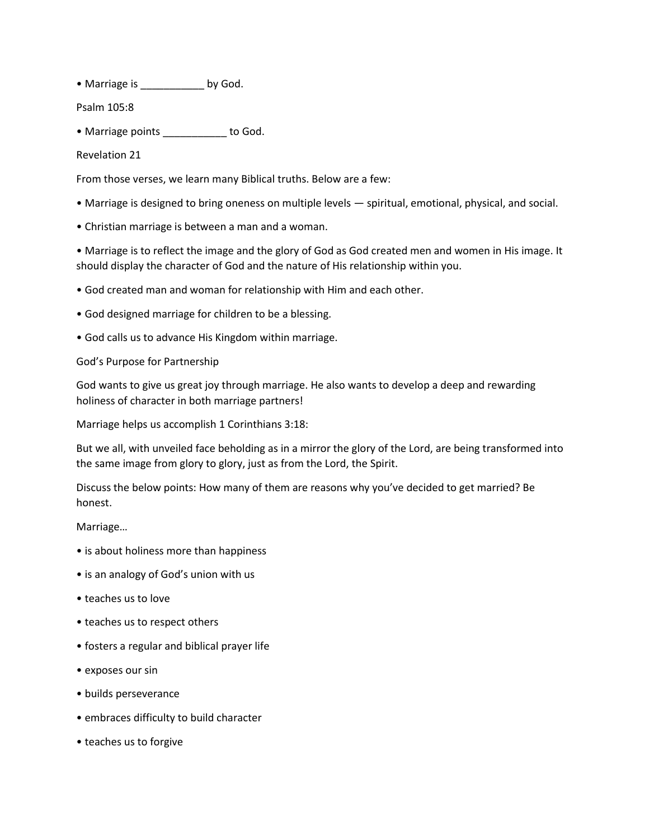• Marriage is \_\_\_\_\_\_\_\_\_ by God.

Psalm 105:8

• Marriage points \_\_\_\_\_\_\_\_\_\_ to God.

Revelation 21

From those verses, we learn many Biblical truths. Below are a few:

- Marriage is designed to bring oneness on multiple levels spiritual, emotional, physical, and social.
- Christian marriage is between a man and a woman.

• Marriage is to reflect the image and the glory of God as God created men and women in His image. It should display the character of God and the nature of His relationship within you.

- God created man and woman for relationship with Him and each other.
- God designed marriage for children to be a blessing.
- God calls us to advance His Kingdom within marriage.

God's Purpose for Partnership

God wants to give us great joy through marriage. He also wants to develop a deep and rewarding holiness of character in both marriage partners!

Marriage helps us accomplish 1 Corinthians 3:18:

But we all, with unveiled face beholding as in a mirror the glory of the Lord, are being transformed into the same image from glory to glory, just as from the Lord, the Spirit.

Discuss the below points: How many of them are reasons why you've decided to get married? Be honest.

Marriage…

- is about holiness more than happiness
- is an analogy of God's union with us
- teaches us to love
- teaches us to respect others
- fosters a regular and biblical prayer life
- exposes our sin
- builds perseverance
- embraces difficulty to build character
- teaches us to forgive